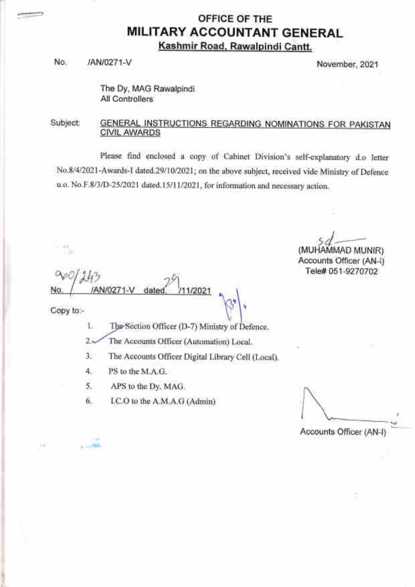## OFFICE OF THE **MILITARY ACCOUNTANT GENERAL** Kashmir Road. Rawalpindi Cantt.

No. /AN/0271-V November,2021

The Dy, MAG Rawalpindi All Controllers

#### Subject: GENERAL INSTRUCTIONS REGARDING NOMINATIONS FOR PAKISTAN CIVIL AWARDS

Please find enclosed a copy of Cabinet Division's self-explanatory d.o letter No.8/4/2021-Awards-I dated.29/10/2021; on the above subject, received vide Ministry of Defence u.o. No.F.8/3/D-25/2021 dated.15/11/2021, for information and necessary action.

\

I  $\mathit{sd} \!\hspace{0.5pt} \longrightarrow$ (MUHAMMAD MUNIR)

Accounts Officer (AN-I) Tele# 051-9270702

Copy to:-

 $113$ 

AN/0271

 $-$ 

. '.n,.i

n.

Officer (D-7) Ministry 1 I

11/2021

- 93 The Accounts Officer (Automation) Local.
- The Accounts Offieer Digital Library Cell (Local). a J.
- PS to the M.A.G. I +.
- APS to the Dy. MAG. 5.
- I.C.O to the A.M.A.G (Admin) 6.

dated

Accounts Officer (AN-)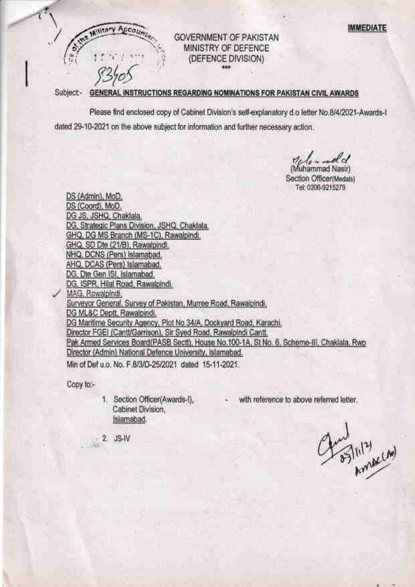IMMEDIATE



## GOVERNMENT OF PAKISTAN MINISTRY OF DEFENCE (DEFENCE DIVISION)

/

 $-1$ 

# S3/OS<br>Subject- GENERAL INSTRUCTIONS REGARDING NOMINATIONS FOR PAKISTAN CIVIL AWARDS

Please find enclosed copy of Cabinet Division's self-explanatory d,o letter No.B/4/2021-Awards-l dated 29-10-2021 on the above subject for information and further necessary action.

glo-ad (Muhammad Nasir)

Section Officer(Medals) Tel: 0306-9215279

DS (Admin), MoD. DS (Coord). MoD. DG JS. JSHQ. Chaklala, DG, Strategic Plans Division, JSHQ, Chaklala. GHQ, DG MS Branch {MS-1C), Rawalpindi. GHQ, SD Dte (21/B), Rawalpindi. NHQ, DQNS (Fers) lslamabad. AHQ, DCAS (Pers) Islamabad. DG, Dte Gen ISI, Islamabad. DG, ISPR, Hilal Road, Rawalpindi, WAG, Rawaipindi.<br>Surveyor General, Survey of Pakistan, Murree Road, Rawalpindi. DG ML&C Deott, Rawalpindi. DG Maritime Security Agency, Plot No 34/A, Dockyard Road, Karachi, Director FGEI (Cantt/Garrison). Sir Syed Road, Rawalpindi Cantt. Pak Armed Services Board(PASB Sectt), House No.100-1A, St No. 6, Scheme-III, Chaklala, Rwp Director (Admin) National Defence University, Islamabad. Min of Def u.o. No. F.8/3/D-25/2021 dated 15-11-2021.

Copy to:-

- 1. Section Officer(Awards-l), Cabinet Division, lslamabad.
- with reference to above referred letter.

 $m^{12}$ 

2" JS.IV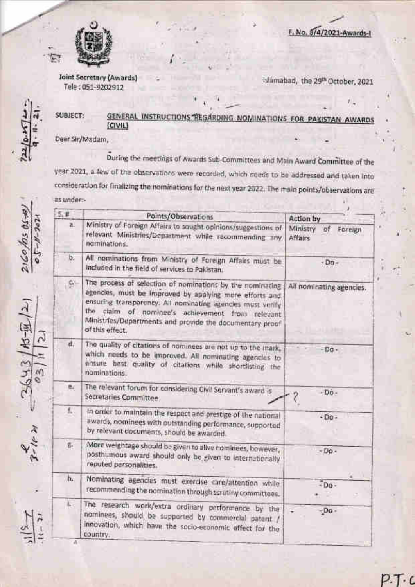



**Joint Secretary (Awards)** Tele: 051-9202912

Islámabad, the 29th October, 2021

#### SUBJECT: GENERAL **INSTRUCTIONS NOMINATIONS FOR PAKISTAN AWARDS**  $(CIVIL)$

Dear Sir/Madam,

During the meetings of Awards Sub-Committees and Main Award Committee of the year 2021, a few of the observations were recorded, which needs to be addressed and taken into consideration for finalizing the nominations for the next year 2022. The main points/observations are as under:-

|                | 5.11             | Points/Observations                                                                                                                                                                                                                                                                                                       | Action by                                |
|----------------|------------------|---------------------------------------------------------------------------------------------------------------------------------------------------------------------------------------------------------------------------------------------------------------------------------------------------------------------------|------------------------------------------|
| $05 - N - 202$ | h.               | Ministry of Foreign Affairs to sought opinions/suggestions of<br>relevant Ministries/Department while recommending any<br>naminations.                                                                                                                                                                                    | Ministry<br>of Foreign<br><b>Affairs</b> |
|                | ь.               | All nominations from Ministry of Foreign Affairs must be<br>included in the field of services to Pakistan.                                                                                                                                                                                                                | $-50 -$                                  |
|                | e.               | The process of selection of nominations by the nominating<br>agencies, must be improved by applying more efforts and<br>ensuring transparency. All nominating agencies must verify<br>the.<br>ciaim of nominee's achievement from relevant<br>Ministries/Departments and provide the documentary proof<br>of this effect. | All nominating agencies.                 |
|                | d.               | The quality of citations of nominees are not up to the mark,<br>which needs to be improved. All nominating agencies to<br>ansure best quality of citations while shortlisting the<br>nominations.                                                                                                                         | $-Da -$                                  |
|                | $\mathfrak{g}_+$ | The relevant forum for considering Civil Servant's award is<br>Secretaries Committee                                                                                                                                                                                                                                      | $-$ Do-                                  |
|                | f.               | In order to maintain the respect and prestige of the national<br>awards, nominees with outstanding performance, supported<br>by relevant documents, should be awarded.                                                                                                                                                    | $-$ Do -                                 |
|                | $\vec{u}_\perp$  | More weightage should be given to alive nominees, however,<br>posthumous award should only be given to internationally<br>reputed personalities.                                                                                                                                                                          | $-Do.$                                   |
|                | h.               | Nominating agencies must exercise care/attention while<br>recommending the nomination through scrutiny committees.                                                                                                                                                                                                        | Do-                                      |
|                | $\overline{b}$   | The research work/extra ordinary performance by the<br>nominees, should be supported by commercial patent /<br>innovation, which have the socio-economic effect for the<br>country.                                                                                                                                       | $-D0$<br>٠                               |